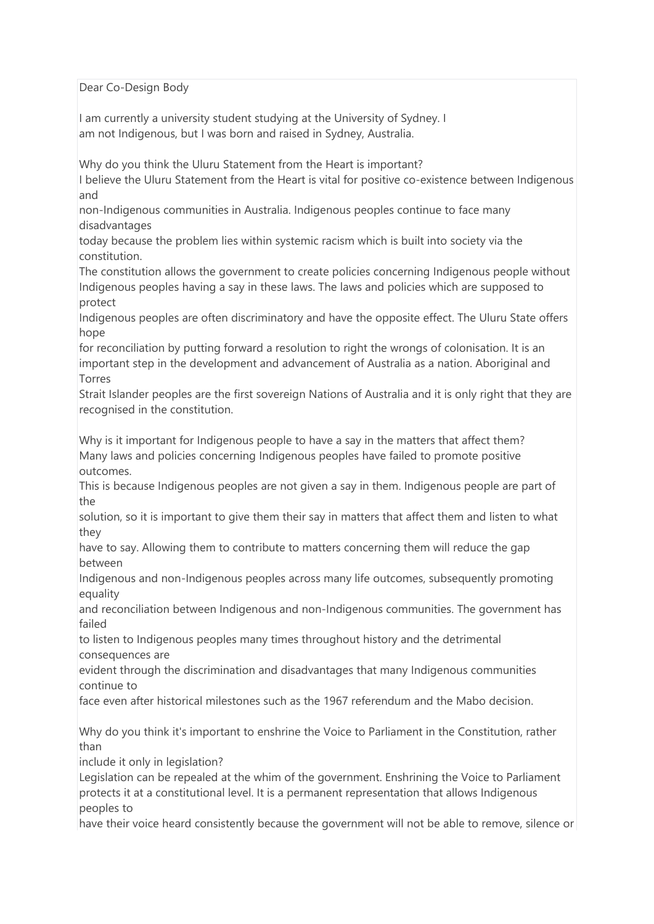Dear Co-Design Body

I am currently a university student studying at the University of Sydney. I am not Indigenous, but I was born and raised in Sydney, Australia.

Why do you think the Uluru Statement from the Heart is important?

I believe the Uluru Statement from the Heart is vital for positive co-existence between Indigenous and

non-Indigenous communities in Australia. Indigenous peoples continue to face many disadvantages

today because the problem lies within systemic racism which is built into society via the constitution.

The constitution allows the government to create policies concerning Indigenous people without Indigenous peoples having a say in these laws. The laws and policies which are supposed to protect

Indigenous peoples are often discriminatory and have the opposite effect. The Uluru State offers hope

for reconciliation by putting forward a resolution to right the wrongs of colonisation. It is an important step in the development and advancement of Australia as a nation. Aboriginal and Torres

Strait Islander peoples are the first sovereign Nations of Australia and it is only right that they are recognised in the constitution.

Why is it important for Indigenous people to have a say in the matters that affect them? Many laws and policies concerning Indigenous peoples have failed to promote positive outcomes.

This is because Indigenous peoples are not given a say in them. Indigenous people are part of the

solution, so it is important to give them their say in matters that affect them and listen to what they

have to say. Allowing them to contribute to matters concerning them will reduce the gap between

Indigenous and non-Indigenous peoples across many life outcomes, subsequently promoting equality

and reconciliation between Indigenous and non-Indigenous communities. The government has failed

to listen to Indigenous peoples many times throughout history and the detrimental consequences are

evident through the discrimination and disadvantages that many Indigenous communities continue to

face even after historical milestones such as the 1967 referendum and the Mabo decision.

Why do you think it's important to enshrine the Voice to Parliament in the Constitution, rather than

include it only in legislation?

Legislation can be repealed at the whim of the government. Enshrining the Voice to Parliament protects it at a constitutional level. It is a permanent representation that allows Indigenous peoples to

have their voice heard consistently because the government will not be able to remove, silence or